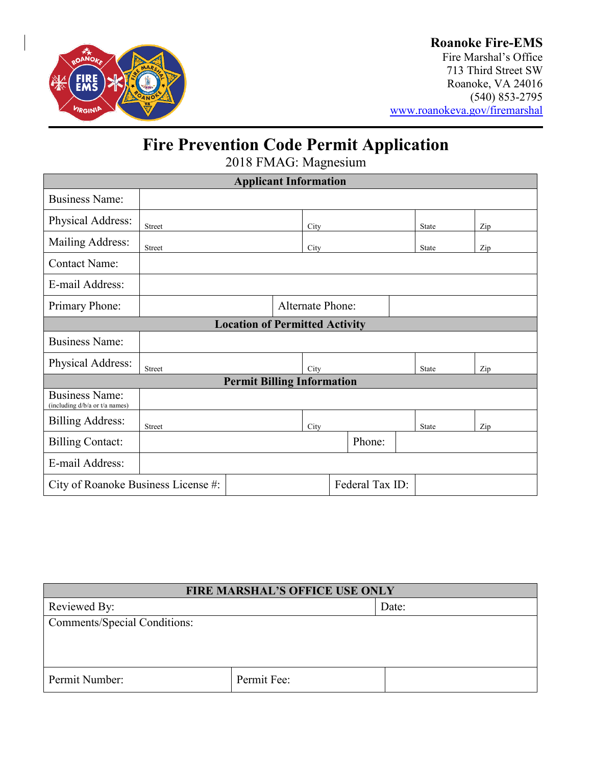

Fire Marshal's Office 713 Third Street SW Roanoke, VA 24016 (540) 853-2795 [www.roanokeva.gov/firemarshal](http://www.roanokeva.gov/firemarshal)

# **Fire Prevention Code Permit Application**

2018 FMAG: Magnesium

| <b>Applicant Information</b>                            |                         |  |      |        |  |              |              |              |
|---------------------------------------------------------|-------------------------|--|------|--------|--|--------------|--------------|--------------|
| <b>Business Name:</b>                                   |                         |  |      |        |  |              |              |              |
| Physical Address:                                       | Street                  |  | City |        |  |              | <b>State</b> | $_{\rm Zip}$ |
| Mailing Address:                                        | Street                  |  | City |        |  |              | State        | Zip          |
| <b>Contact Name:</b>                                    |                         |  |      |        |  |              |              |              |
| E-mail Address:                                         |                         |  |      |        |  |              |              |              |
| Primary Phone:                                          | <b>Alternate Phone:</b> |  |      |        |  |              |              |              |
| <b>Location of Permitted Activity</b>                   |                         |  |      |        |  |              |              |              |
| <b>Business Name:</b>                                   |                         |  |      |        |  |              |              |              |
| Physical Address:                                       | Street                  |  | City |        |  | <b>State</b> | Zip          |              |
| <b>Permit Billing Information</b>                       |                         |  |      |        |  |              |              |              |
| <b>Business Name:</b><br>(including d/b/a or t/a names) |                         |  |      |        |  |              |              |              |
| <b>Billing Address:</b>                                 | <b>Street</b>           |  | City |        |  |              | <b>State</b> | Zip          |
| <b>Billing Contact:</b>                                 |                         |  |      | Phone: |  |              |              |              |
| E-mail Address:                                         |                         |  |      |        |  |              |              |              |
| Federal Tax ID:<br>City of Roanoke Business License #:  |                         |  |      |        |  |              |              |              |

| <b>FIRE MARSHAL'S OFFICE USE ONLY</b> |             |       |  |  |
|---------------------------------------|-------------|-------|--|--|
| Reviewed By:                          |             | Date: |  |  |
| <b>Comments/Special Conditions:</b>   |             |       |  |  |
|                                       |             |       |  |  |
|                                       |             |       |  |  |
| Permit Number:                        | Permit Fee: |       |  |  |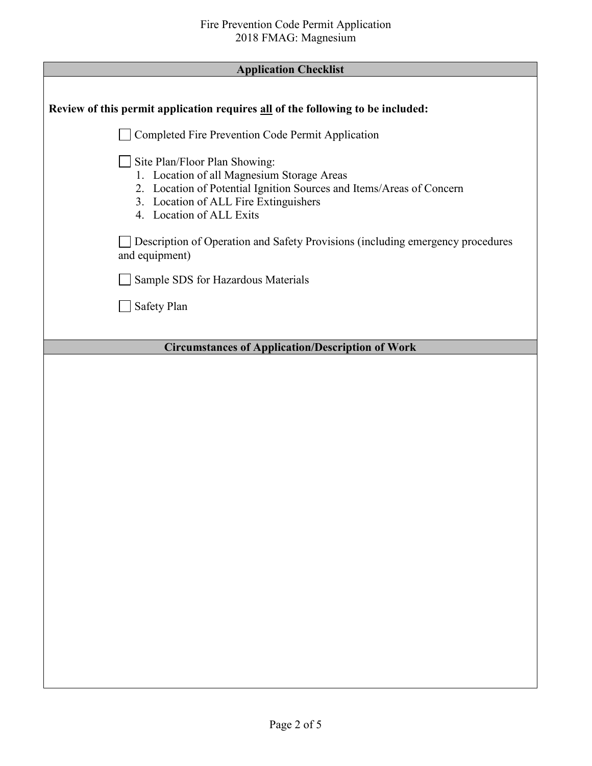| Review of this permit application requires all of the following to be included:                                                                                                                                          |
|--------------------------------------------------------------------------------------------------------------------------------------------------------------------------------------------------------------------------|
| Completed Fire Prevention Code Permit Application                                                                                                                                                                        |
| Site Plan/Floor Plan Showing:<br>1. Location of all Magnesium Storage Areas<br>2. Location of Potential Ignition Sources and Items/Areas of Concern<br>3. Location of ALL Fire Extinguishers<br>4. Location of ALL Exits |
| Description of Operation and Safety Provisions (including emergency procedures<br>and equipment)                                                                                                                         |
| Sample SDS for Hazardous Materials                                                                                                                                                                                       |
| Safety Plan                                                                                                                                                                                                              |
| <b>Circumstances of Application/Description of Work</b>                                                                                                                                                                  |
|                                                                                                                                                                                                                          |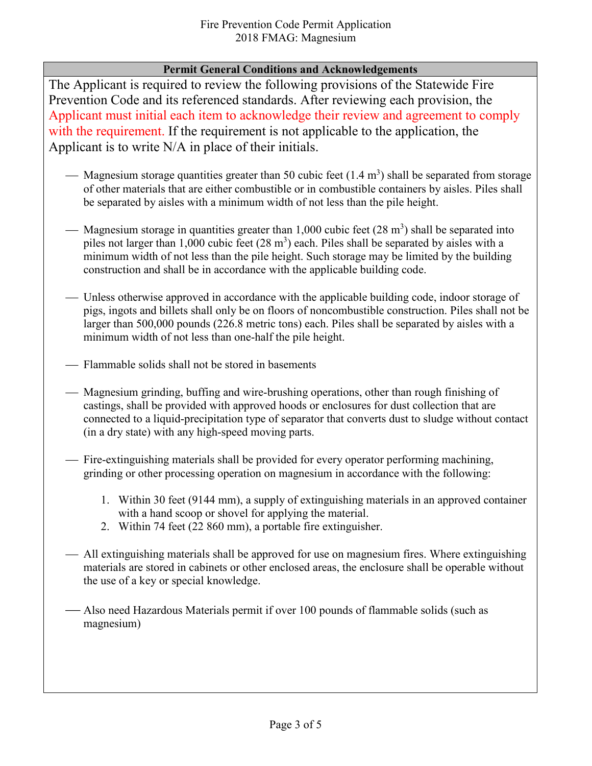### **Permit General Conditions and Acknowledgements**

The Applicant is required to review the following provisions of the Statewide Fire Prevention Code and its referenced standards. After reviewing each provision, the Applicant must initial each item to acknowledge their review and agreement to comply with the requirement. If the requirement is not applicable to the application, the Applicant is to write N/A in place of their initials.

- Magnesium storage quantities greater than 50 cubic feet  $(1.4 \text{ m}^3)$  shall be separated from storage of other materials that are either combustible or in combustible containers by aisles. Piles shall be separated by aisles with a minimum width of not less than the pile height.
- Magnesium storage in quantities greater than 1,000 cubic feet  $(28 \text{ m}^3)$  shall be separated into piles not larger than 1,000 cubic feet  $(28 \text{ m}^3)$  each. Piles shall be separated by aisles with a minimum width of not less than the pile height. Such storage may be limited by the building construction and shall be in accordance with the applicable building code.
- Unless otherwise approved in accordance with the applicable building code, indoor storage of pigs, ingots and billets shall only be on floors of noncombustible construction. Piles shall not be larger than 500,000 pounds (226.8 metric tons) each. Piles shall be separated by aisles with a minimum width of not less than one-half the pile height.
- Flammable solids shall not be stored in basements
- Magnesium grinding, buffing and wire-brushing operations, other than rough finishing of castings, shall be provided with approved hoods or enclosures for dust collection that are connected to a liquid-precipitation type of separator that converts dust to sludge without contact (in a dry state) with any high-speed moving parts.
- Fire-extinguishing materials shall be provided for every operator performing machining, grinding or other processing operation on magnesium in accordance with the following:
	- 1. Within 30 feet (9144 mm), a supply of extinguishing materials in an approved container with a hand scoop or shovel for applying the material.
	- 2. Within 74 feet (22 860 mm), a portable fire extinguisher.
- All extinguishing materials shall be approved for use on magnesium fires. Where extinguishing materials are stored in cabinets or other enclosed areas, the enclosure shall be operable without the use of a key or special knowledge.
- Also need Hazardous Materials permit if over 100 pounds of flammable solids (such as magnesium)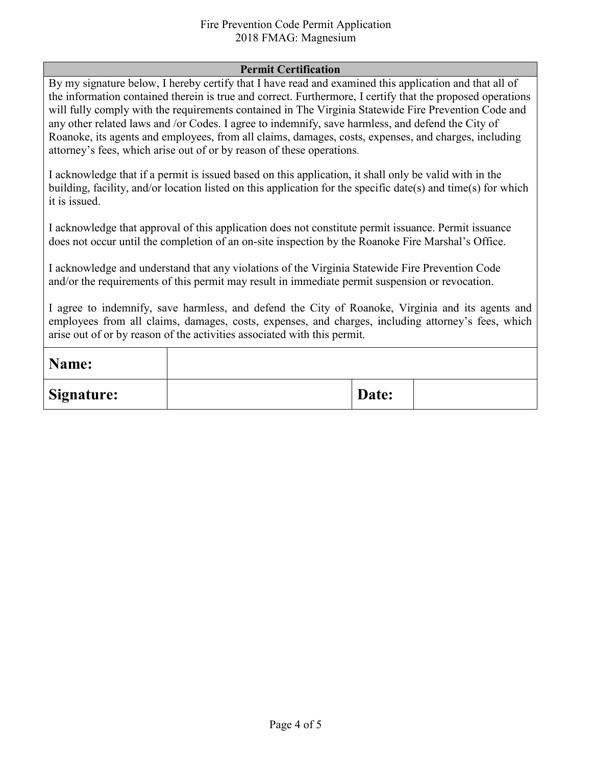#### Fire Prevention Code Permit Application 2018 FMAG: Magnesium

#### **Permit Certification**

By my signature below, I hereby certify that I have read and examined this application and that all of the information contained therein is true and correct. Furthermore, I certify that the proposed operations will fully comply with the requirements contained in The Virginia Statewide Fire Prevention Code and any other related laws and /or Codes. I agree to indemnify, save harmless, and defend the City of Roanoke, its agents and employees, from all claims, damages, costs, expenses, and charges, including attorney's fees, which arise out of or by reason of these operations.

I acknowledge that if a permit is issued based on this application, it shall only be valid with in the building, facility, and/or location listed on this application for the specific date(s) and time(s) for which it is issued.

I acknowledge that approval of this application does not constitute permit issuance. Permit issuance does not occur until the completion of an on-site inspection by the Roanoke Fire Marshal's Office.

I acknowledge and understand that any violations of the Virginia Statewide Fire Prevention Code and/or the requirements of this permit may result in immediate permit suspension or revocation.

I agree to indemnify, save harmless, and defend the City of Roanoke, Virginia and its agents and employees from all claims, damages, costs, expenses, and charges, including attorney's fees, which arise out of or by reason of the activities associated with this permit.

| Name:      |       |  |
|------------|-------|--|
| Signature: | Date: |  |